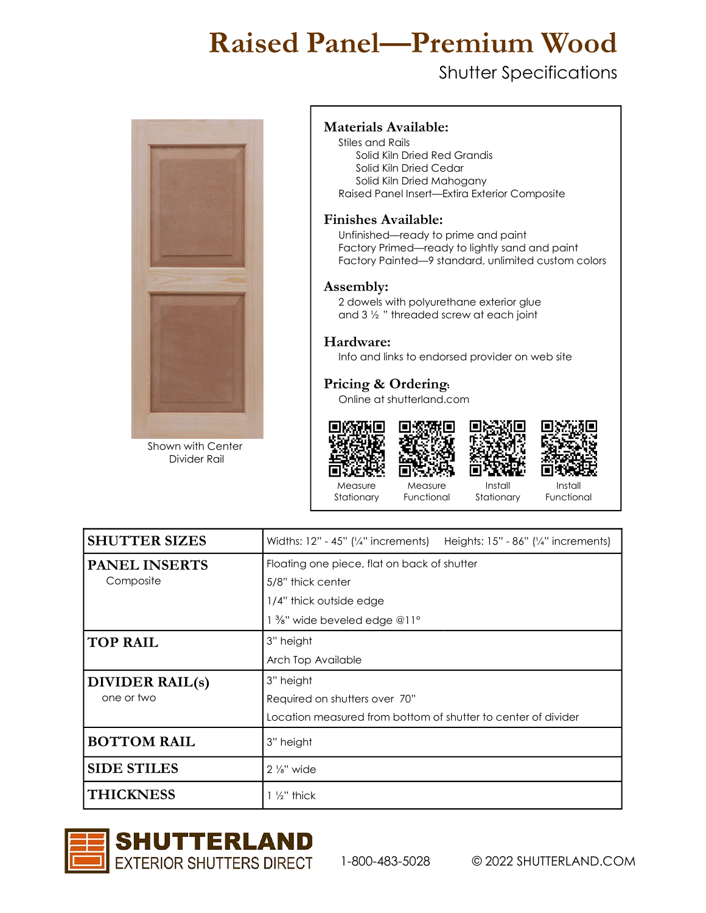## Raised Panel—Premium Wood

### Shutter Specifications



Shown with Center Divider Rail

#### Materials Available:

Stiles and Rails Solid Kiln Dried Red Grandis Solid Kiln Dried Cedar Solid Kiln Dried Mahogany Raised Panel Insert—Extira Exterior Composite

#### Finishes Available:

 Unfinished—ready to prime and paint Factory Primed—ready to lightly sand and paint Factory Painted—9 standard, unlimited custom colors

#### Assembly:

2 dowels with polyurethane exterior glue and 3 ½ " threaded screw at each joint

#### Hardware:

Info and links to endorsed provider on web site

IП

#### Pricing & Ordering:

Online at shutterland.com







Measure Stationary

Measure Functional Install Stationary

Install Functional

| <b>SHUTTER SIZES</b> | Widths: $12" - 45"$ (' $/4"$ increments) Heights: $15" - 86"$ (' $/4"$ increments) |  |  |  |  |  |  |
|----------------------|------------------------------------------------------------------------------------|--|--|--|--|--|--|
| <b>PANEL INSERTS</b> | Floating one piece, flat on back of shutter                                        |  |  |  |  |  |  |
| Composite            | 5/8" thick center                                                                  |  |  |  |  |  |  |
|                      | 1/4" thick outside edge                                                            |  |  |  |  |  |  |
|                      | 1 %" wide beveled edge @11°                                                        |  |  |  |  |  |  |
| <b>TOP RAIL</b>      | 3" height                                                                          |  |  |  |  |  |  |
|                      | Arch Top Available                                                                 |  |  |  |  |  |  |
|                      |                                                                                    |  |  |  |  |  |  |
| DIVIDER RAIL(s)      | 3" height                                                                          |  |  |  |  |  |  |
| one or two           | Required on shutters over 70"                                                      |  |  |  |  |  |  |
|                      | Location measured from bottom of shutter to center of divider                      |  |  |  |  |  |  |
| <b>BOTTOM RAIL</b>   | 3" height                                                                          |  |  |  |  |  |  |
| <b>SIDE STILES</b>   | $2\frac{1}{8}$ " wide                                                              |  |  |  |  |  |  |